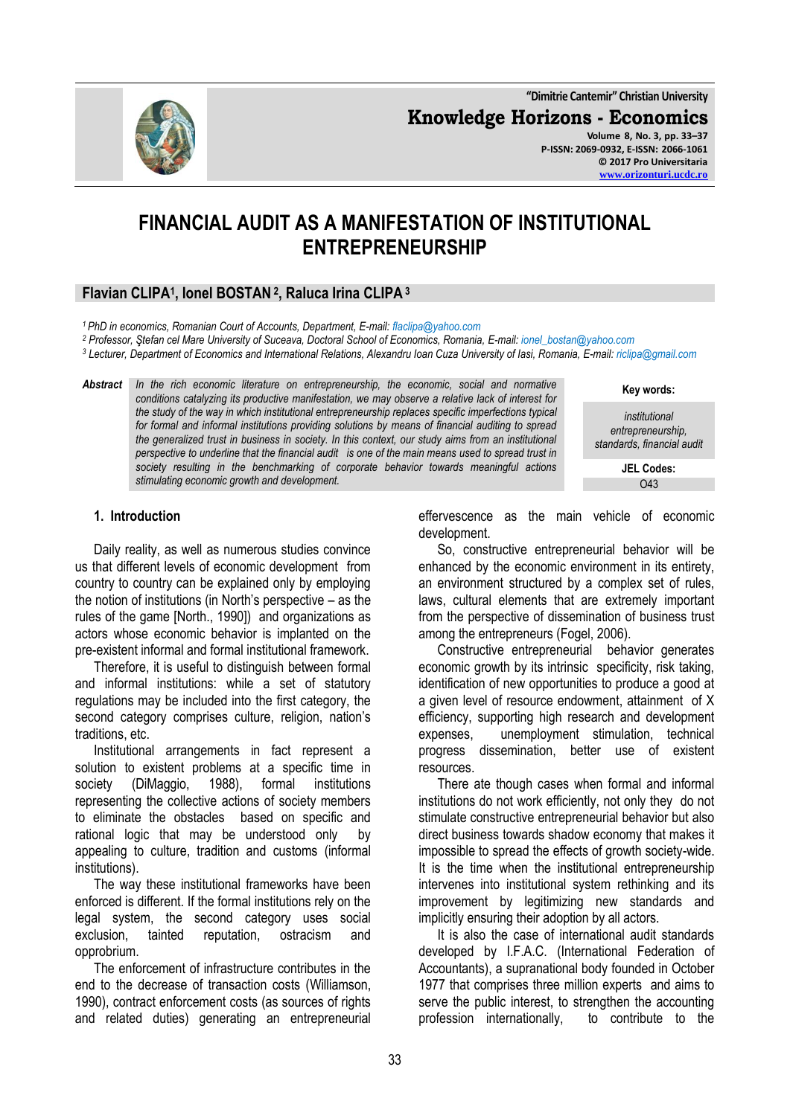**"Dimitrie Cantemir" Christian University**

**Knowledge Horizons - Economics**

**Volume 8, No. 3, pp. 33–37 P-ISSN: 2069-0932, E-ISSN: 2066-1061 © 2017 Pro Universitaria [www.orizonturi.ucdc.ro](http://www.orizonturi.ucdc.ro/)**

# **FINANCIAL AUDIT AS A MANIFESTATION OF INSTITUTIONAL ENTREPRENEURSHIP**

# **Flavian CLIPA<sup>1</sup> , Ionel BOSTAN <sup>2</sup> , Raluca Irina CLIPA <sup>3</sup>**

*<sup>1</sup>PhD in economics, Romanian Court of Accounts, Department, E-mail: flaclipa@yahoo.com*

*<sup>2</sup> Professor, Ştefan cel Mare University of Suceava, Doctoral School of Economics, Romania, E-mail: ionel\_bostan@yahoo.com*

*<sup>3</sup> Lecturer, Department of Economics and International Relations, Alexandru Ioan Cuza University of Iasi, Romania, E-mail: riclipa@gmail.com*

*Abstract In the rich economic literature on entrepreneurship, the economic, social and normative conditions catalyzing its productive manifestation, we may observe a relative lack of interest for the study of the way in which institutional entrepreneurship replaces specific imperfections typical for formal and informal institutions providing solutions by means of financial auditing to spread the generalized trust in business in society. In this context, our study aims from an institutional perspective to underline that the financial audit is one of the main means used to spread trust in society resulting in the benchmarking of corporate behavior towards meaningful actions stimulating economic growth and development.*

**Key words:**

*institutional entrepreneurship, standards, financial audit*

> **JEL Codes:** O43

#### **1. Introduction**

Daily reality, as well as numerous studies convince us that different levels of economic development from country to country can be explained only by employing the notion of institutions (in North's perspective – as the rules of the game [North., 1990]) and organizations as actors whose economic behavior is implanted on the pre-existent informal and formal institutional framework.

Therefore, it is useful to distinguish between formal and informal institutions: while a set of statutory regulations may be included into the first category, the second category comprises culture, religion, nation's traditions, etc.

Institutional arrangements in fact represent a solution to existent problems at a specific time in society (DiMaggio, 1988), formal institutions representing the collective actions of society members to eliminate the obstacles based on specific and rational logic that may be understood only by appealing to culture, tradition and customs (informal institutions).

The way these institutional frameworks have been enforced is different. If the formal institutions rely on the legal system, the second category uses social exclusion, tainted reputation, ostracism and opprobrium.

The enforcement of infrastructure contributes in the end to the decrease of transaction costs (Williamson, 1990), contract enforcement costs (as sources of rights and related duties) generating an entrepreneurial

effervescence as the main vehicle of economic development.

So, constructive entrepreneurial behavior will be enhanced by the economic environment in its entirety, an environment structured by a complex set of rules, laws, cultural elements that are extremely important from the perspective of dissemination of business trust among the entrepreneurs (Fogel, 2006).

Constructive entrepreneurial behavior generates economic growth by its intrinsic specificity, risk taking, identification of new opportunities to produce a good at a given level of resource endowment, attainment of X efficiency, supporting high research and development expenses, unemployment stimulation, technical progress dissemination, better use of existent resources.

There ate though cases when formal and informal institutions do not work efficiently, not only they do not stimulate constructive entrepreneurial behavior but also direct business towards shadow economy that makes it impossible to spread the effects of growth society-wide. It is the time when the institutional entrepreneurship intervenes into institutional system rethinking and its improvement by legitimizing new standards and implicitly ensuring their adoption by all actors.

It is also the case of international audit standards developed by I.F.A.C. (International Federation of Accountants), a supranational body founded in October 1977 that comprises three million experts and aims to serve the public interest, to strengthen the accounting profession internationally, to contribute to the

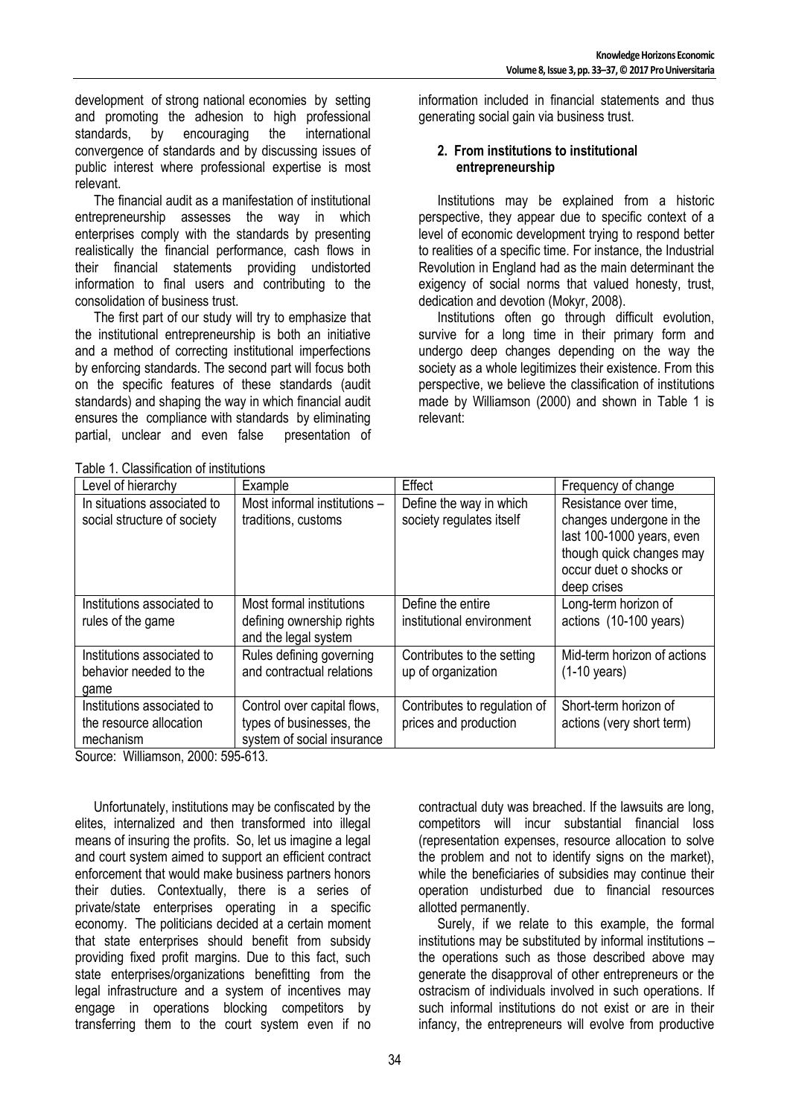development of strong national economies by setting and promoting the adhesion to high professional standards, by encouraging the international convergence of standards and by discussing issues of public interest where professional expertise is most relevant.

The financial audit as a manifestation of institutional entrepreneurship assesses the way in which enterprises comply with the standards by presenting realistically the financial performance, cash flows in their financial statements providing undistorted information to final users and contributing to the consolidation of business trust.

The first part of our study will try to emphasize that the institutional entrepreneurship is both an initiative and a method of correcting institutional imperfections by enforcing standards. The second part will focus both on the specific features of these standards (audit standards) and shaping the way in which financial audit ensures the compliance with standards by eliminating partial, unclear and even false presentation of

information included in financial statements and thus generating social gain via business trust.

## **2. From institutions to institutional entrepreneurship**

Institutions may be explained from a historic perspective, they appear due to specific context of a level of economic development trying to respond better to realities of a specific time. For instance, the Industrial Revolution in England had as the main determinant the exigency of social norms that valued honesty, trust, dedication and devotion (Mokyr, 2008).

Institutions often go through difficult evolution, survive for a long time in their primary form and undergo deep changes depending on the way the society as a whole legitimizes their existence. From this perspective, we believe the classification of institutions made by Williamson (2000) and shown in Table 1 is relevant:

| Table 1. Classification of institutions |  |
|-----------------------------------------|--|
|                                         |  |

| Table T. Classification of Institutions                            |                                                                                       |                                                       |                                                                                                                                                     |  |  |
|--------------------------------------------------------------------|---------------------------------------------------------------------------------------|-------------------------------------------------------|-----------------------------------------------------------------------------------------------------------------------------------------------------|--|--|
| Level of hierarchy                                                 | Example                                                                               | Effect                                                | Frequency of change                                                                                                                                 |  |  |
| In situations associated to<br>social structure of society         | Most informal institutions -<br>traditions, customs                                   | Define the way in which<br>society regulates itself   | Resistance over time,<br>changes undergone in the<br>last 100-1000 years, even<br>though quick changes may<br>occur duet o shocks or<br>deep crises |  |  |
| Institutions associated to<br>rules of the game                    | Most formal institutions<br>defining ownership rights<br>and the legal system         | Define the entire<br>institutional environment        | Long-term horizon of<br>actions (10-100 years)                                                                                                      |  |  |
| Institutions associated to<br>behavior needed to the<br>game       | Rules defining governing<br>and contractual relations                                 | Contributes to the setting<br>up of organization      | Mid-term horizon of actions<br>$(1-10 \text{ years})$                                                                                               |  |  |
| Institutions associated to<br>the resource allocation<br>mechanism | Control over capital flows,<br>types of businesses, the<br>system of social insurance | Contributes to regulation of<br>prices and production | Short-term horizon of<br>actions (very short term)                                                                                                  |  |  |

Source: Williamson, 2000: 595-613.

Unfortunately, institutions may be confiscated by the elites, internalized and then transformed into illegal means of insuring the profits. So, let us imagine a legal and court system aimed to support an efficient contract enforcement that would make business partners honors their duties. Contextually, there is a series of private/state enterprises operating in a specific economy. The politicians decided at a certain moment that state enterprises should benefit from subsidy providing fixed profit margins. Due to this fact, such state enterprises/organizations benefitting from the legal infrastructure and a system of incentives may engage in operations blocking competitors by transferring them to the court system even if no

contractual duty was breached. If the lawsuits are long, competitors will incur substantial financial loss (representation expenses, resource allocation to solve the problem and not to identify signs on the market), while the beneficiaries of subsidies may continue their operation undisturbed due to financial resources allotted permanently.

Surely, if we relate to this example, the formal institutions may be substituted by informal institutions – the operations such as those described above may generate the disapproval of other entrepreneurs or the ostracism of individuals involved in such operations. If such informal institutions do not exist or are in their infancy, the entrepreneurs will evolve from productive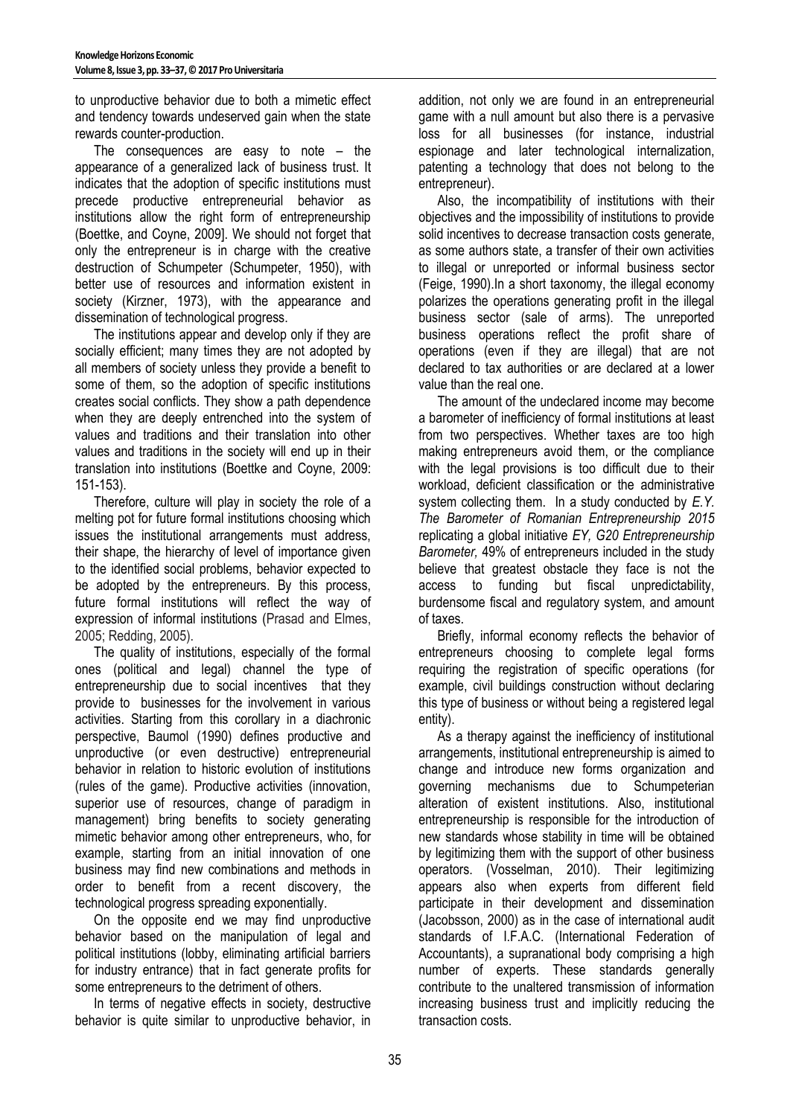to unproductive behavior due to both a mimetic effect and tendency towards undeserved gain when the state rewards counter-production.

The consequences are easy to note – the appearance of a generalized lack of business trust. It indicates that the adoption of specific institutions must precede productive entrepreneurial behavior as institutions allow the right form of entrepreneurship (Boettke, and Coyne, 2009]. We should not forget that only the entrepreneur is in charge with the creative destruction of Schumpeter (Schumpeter, 1950), with better use of resources and information existent in society (Kirzner, 1973), with the appearance and dissemination of technological progress.

The institutions appear and develop only if they are socially efficient; many times they are not adopted by all members of society unless they provide a benefit to some of them, so the adoption of specific institutions creates social conflicts. They show a path dependence when they are deeply entrenched into the system of values and traditions and their translation into other values and traditions in the society will end up in their translation into institutions (Boettke and Coyne, 2009: 151-153).

Therefore, culture will play in society the role of a melting pot for future formal institutions choosing which issues the institutional arrangements must address, their shape, the hierarchy of level of importance given to the identified social problems, behavior expected to be adopted by the entrepreneurs. By this process, future formal institutions will reflect the way of expression of informal institutions (Prasad and Elmes, 2005; Redding, 2005).

The quality of institutions, especially of the formal ones (political and legal) channel the type of entrepreneurship due to social incentives that they provide to businesses for the involvement in various activities. Starting from this corollary in a diachronic perspective, Baumol (1990) defines productive and unproductive (or even destructive) entrepreneurial behavior in relation to historic evolution of institutions (rules of the game). Productive activities (innovation, superior use of resources, change of paradigm in management) bring benefits to society generating mimetic behavior among other entrepreneurs, who, for example, starting from an initial innovation of one business may find new combinations and methods in order to benefit from a recent discovery, the technological progress spreading exponentially.

On the opposite end we may find unproductive behavior based on the manipulation of legal and political institutions (lobby, eliminating artificial barriers for industry entrance) that in fact generate profits for some entrepreneurs to the detriment of others.

In terms of negative effects in society, destructive behavior is quite similar to unproductive behavior, in addition, not only we are found in an entrepreneurial game with a null amount but also there is a pervasive loss for all businesses (for instance, industrial espionage and later technological internalization, patenting a technology that does not belong to the entrepreneur).

Also, the incompatibility of institutions with their objectives and the impossibility of institutions to provide solid incentives to decrease transaction costs generate, as some authors state, a transfer of their own activities to illegal or unreported or informal business sector (Feige, 1990).In a short taxonomy, the illegal economy polarizes the operations generating profit in the illegal business sector (sale of arms). The unreported business operations reflect the profit share of operations (even if they are illegal) that are not declared to tax authorities or are declared at a lower value than the real one.

The amount of the undeclared income may become a barometer of inefficiency of formal institutions at least from two perspectives. Whether taxes are too high making entrepreneurs avoid them, or the compliance with the legal provisions is too difficult due to their workload, deficient classification or the administrative system collecting them. In a study conducted by *E.Y. The Barometer of Romanian Entrepreneurship 2015* replicating a global initiative *EY, G20 Entrepreneurship Barometer,* 49% of entrepreneurs included in the study believe that greatest obstacle they face is not the access to funding but fiscal unpredictability, burdensome fiscal and regulatory system, and amount of taxes.

Briefly, informal economy reflects the behavior of entrepreneurs choosing to complete legal forms requiring the registration of specific operations (for example, civil buildings construction without declaring this type of business or without being a registered legal entity).

As a therapy against the inefficiency of institutional arrangements, institutional entrepreneurship is aimed to change and introduce new forms organization and governing mechanisms due to Schumpeterian alteration of existent institutions. Also, institutional entrepreneurship is responsible for the introduction of new standards whose stability in time will be obtained by legitimizing them with the support of other business operators. (Vosselman, 2010). Their legitimizing appears also when experts from different field participate in their development and dissemination (Jacobsson, 2000) as in the case of international audit standards of I.F.A.C. (International Federation of Accountants), a supranational body comprising a high number of experts. These standards generally contribute to the unaltered transmission of information increasing business trust and implicitly reducing the transaction costs.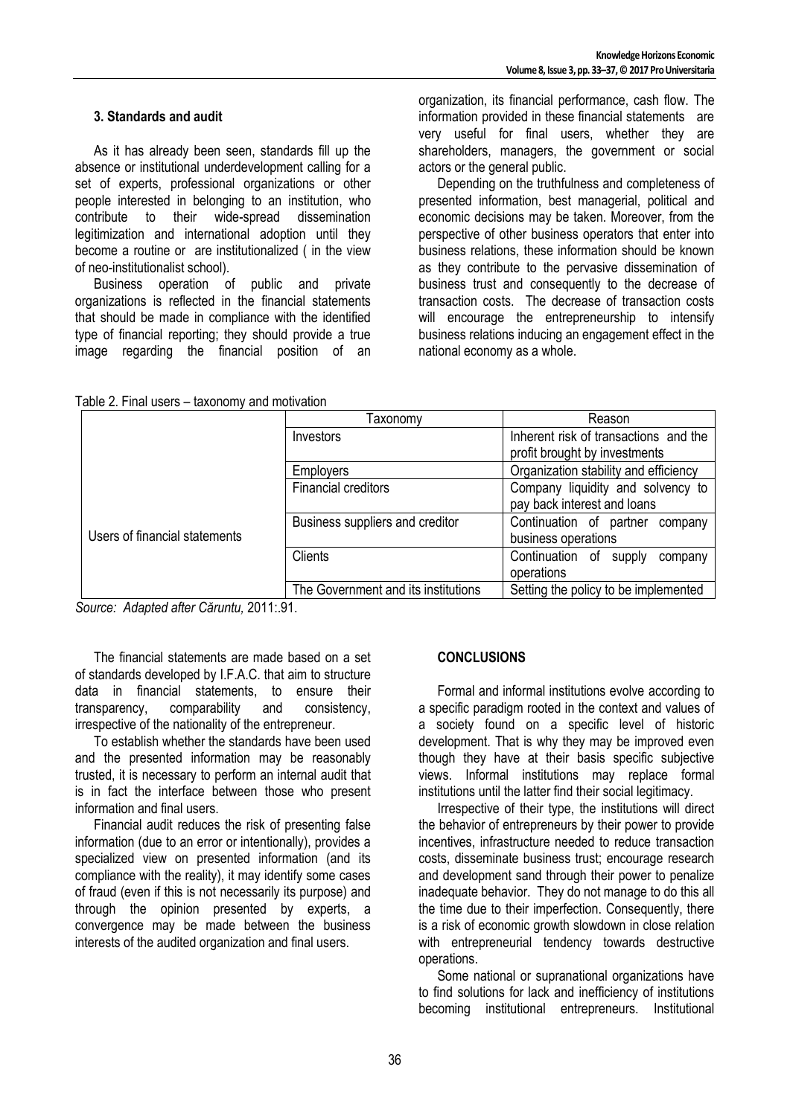#### **3. Standards and audit**

As it has already been seen, standards fill up the absence or institutional underdevelopment calling for a set of experts, professional organizations or other people interested in belonging to an institution, who contribute to their wide-spread dissemination legitimization and international adoption until they become a routine or are institutionalized ( in the view of neo-institutionalist school).

Business operation of public and private organizations is reflected in the financial statements that should be made in compliance with the identified type of financial reporting; they should provide a true image regarding the financial position of an organization, its financial performance, cash flow. The information provided in these financial statements are very useful for final users, whether they are shareholders, managers, the government or social actors or the general public.

Depending on the truthfulness and completeness of presented information, best managerial, political and economic decisions may be taken. Moreover, from the perspective of other business operators that enter into business relations, these information should be known as they contribute to the pervasive dissemination of business trust and consequently to the decrease of transaction costs. The decrease of transaction costs will encourage the entrepreneurship to intensify business relations inducing an engagement effect in the national economy as a whole.

| Table 2. Final users - taxonomy and motivation |  |
|------------------------------------------------|--|
|------------------------------------------------|--|

|                               | Taxonomv                            | Reason                                                           |
|-------------------------------|-------------------------------------|------------------------------------------------------------------|
|                               | Investors                           | Inherent risk of transactions and the                            |
|                               |                                     | profit brought by investments                                    |
|                               | <b>Employers</b>                    | Organization stability and efficiency                            |
| Users of financial statements | Financial creditors                 | Company liquidity and solvency to<br>pay back interest and loans |
|                               | Business suppliers and creditor     | Continuation of partner company<br>business operations           |
|                               | <b>Clients</b>                      | Continuation of<br>supply<br>company<br>operations               |
|                               | The Government and its institutions | Setting the policy to be implemented                             |

*Source: Adapted after Căruntu,* 2011:.91.

The financial statements are made based on a set of standards developed by I.F.A.C. that aim to structure data in financial statements, to ensure their transparency, comparability and consistency, irrespective of the nationality of the entrepreneur.

To establish whether the standards have been used and the presented information may be reasonably trusted, it is necessary to perform an internal audit that is in fact the interface between those who present information and final users.

Financial audit reduces the risk of presenting false information (due to an error or intentionally), provides a specialized view on presented information (and its compliance with the reality), it may identify some cases of fraud (even if this is not necessarily its purpose) and through the opinion presented by experts, a convergence may be made between the business interests of the audited organization and final users.

## **CONCLUSIONS**

Formal and informal institutions evolve according to a specific paradigm rooted in the context and values of a society found on a specific level of historic development. That is why they may be improved even though they have at their basis specific subjective views. Informal institutions may replace formal institutions until the latter find their social legitimacy.

Irrespective of their type, the institutions will direct the behavior of entrepreneurs by their power to provide incentives, infrastructure needed to reduce transaction costs, disseminate business trust; encourage research and development sand through their power to penalize inadequate behavior. They do not manage to do this all the time due to their imperfection. Consequently, there is a risk of economic growth slowdown in close relation with entrepreneurial tendency towards destructive operations.

Some national or supranational organizations have to find solutions for lack and inefficiency of institutions becoming institutional entrepreneurs. Institutional